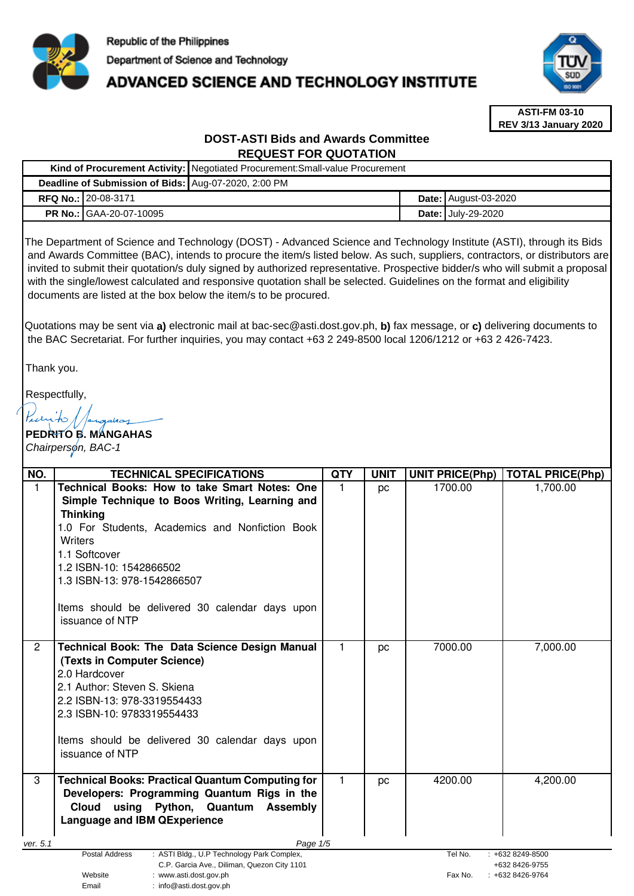

# ADVANCED SCIENCE AND TECHNOLOGY INSTITUTE



**ASTI-FM 03-10 REV 3/13 January 2020**

# **DOST-ASTI Bids and Awards Committee REQUEST FOR QUOTATION Kind of Procurement Activity:** Negotiated Procurement:Small-value Procurement

| Deadline of Submission of Bids: Aug-07-2020, 2:00 PM                                                                                                                                                                                                                                                                                                                                                                                                                                                                                                                                                                                                                                                                                                                                                                                                            |                                                                                                                                                                                                                                                                                                                                                                                                                                                                                                                                                                                                                      |                                                                                                                                                |              |             |       |                        |                                                              |  |
|-----------------------------------------------------------------------------------------------------------------------------------------------------------------------------------------------------------------------------------------------------------------------------------------------------------------------------------------------------------------------------------------------------------------------------------------------------------------------------------------------------------------------------------------------------------------------------------------------------------------------------------------------------------------------------------------------------------------------------------------------------------------------------------------------------------------------------------------------------------------|----------------------------------------------------------------------------------------------------------------------------------------------------------------------------------------------------------------------------------------------------------------------------------------------------------------------------------------------------------------------------------------------------------------------------------------------------------------------------------------------------------------------------------------------------------------------------------------------------------------------|------------------------------------------------------------------------------------------------------------------------------------------------|--------------|-------------|-------|------------------------|--------------------------------------------------------------|--|
| RFQ No.: 20-08-3171                                                                                                                                                                                                                                                                                                                                                                                                                                                                                                                                                                                                                                                                                                                                                                                                                                             |                                                                                                                                                                                                                                                                                                                                                                                                                                                                                                                                                                                                                      |                                                                                                                                                |              |             | Date: | August-03-2020         |                                                              |  |
| PR No.: GAA-20-07-10095                                                                                                                                                                                                                                                                                                                                                                                                                                                                                                                                                                                                                                                                                                                                                                                                                                         |                                                                                                                                                                                                                                                                                                                                                                                                                                                                                                                                                                                                                      |                                                                                                                                                |              |             | Date: | July-29-2020           |                                                              |  |
| The Department of Science and Technology (DOST) - Advanced Science and Technology Institute (ASTI), through its Bids<br>and Awards Committee (BAC), intends to procure the item/s listed below. As such, suppliers, contractors, or distributors are<br>invited to submit their quotation/s duly signed by authorized representative. Prospective bidder/s who will submit a proposal<br>with the single/lowest calculated and responsive quotation shall be selected. Guidelines on the format and eligibility<br>documents are listed at the box below the item/s to be procured.<br>Quotations may be sent via a) electronic mail at bac-sec@asti.dost.gov.ph, b) fax message, or c) delivering documents to<br>the BAC Secretariat. For further inquiries, you may contact +63 2 249-8500 local 1206/1212 or +63 2 426-7423.<br>Thank you.<br>Respectfully, |                                                                                                                                                                                                                                                                                                                                                                                                                                                                                                                                                                                                                      |                                                                                                                                                |              |             |       |                        |                                                              |  |
| Pecuito,                                                                                                                                                                                                                                                                                                                                                                                                                                                                                                                                                                                                                                                                                                                                                                                                                                                        |                                                                                                                                                                                                                                                                                                                                                                                                                                                                                                                                                                                                                      |                                                                                                                                                |              |             |       |                        |                                                              |  |
|                                                                                                                                                                                                                                                                                                                                                                                                                                                                                                                                                                                                                                                                                                                                                                                                                                                                 | PEDRITO B. MANGAHAS                                                                                                                                                                                                                                                                                                                                                                                                                                                                                                                                                                                                  |                                                                                                                                                |              |             |       |                        |                                                              |  |
|                                                                                                                                                                                                                                                                                                                                                                                                                                                                                                                                                                                                                                                                                                                                                                                                                                                                 | Chairperson, BAC-1                                                                                                                                                                                                                                                                                                                                                                                                                                                                                                                                                                                                   |                                                                                                                                                |              |             |       |                        |                                                              |  |
| NO.                                                                                                                                                                                                                                                                                                                                                                                                                                                                                                                                                                                                                                                                                                                                                                                                                                                             | <b>TECHNICAL SPECIFICATIONS</b>                                                                                                                                                                                                                                                                                                                                                                                                                                                                                                                                                                                      |                                                                                                                                                | <b>QTY</b>   | <b>UNIT</b> |       | <b>UNIT PRICE(Php)</b> | <b>TOTAL PRICE(Php)</b>                                      |  |
| 1<br>2                                                                                                                                                                                                                                                                                                                                                                                                                                                                                                                                                                                                                                                                                                                                                                                                                                                          | Technical Books: How to take Smart Notes: One<br>Simple Technique to Boos Writing, Learning and<br><b>Thinking</b><br>1.0 For Students, Academics and Nonfiction Book<br><b>Writers</b><br>1.1 Softcover<br>1.2 ISBN-10: 1542866502<br>1.3 ISBN-13: 978-1542866507<br>Items should be delivered 30 calendar days upon<br>issuance of NTP<br><b>Technical Book: The Data Science Design Manual</b><br>(Texts in Computer Science)<br>2.0 Hardcover<br>2.1 Author: Steven S. Skiena<br>2.2 ISBN-13: 978-3319554433<br>2.3 ISBN-10: 9783319554433<br>Items should be delivered 30 calendar days upon<br>issuance of NTP |                                                                                                                                                | 1<br>1       | pc<br>pc    |       | 1700.00<br>7000.00     | 1,700.00<br>7,000.00                                         |  |
| 3                                                                                                                                                                                                                                                                                                                                                                                                                                                                                                                                                                                                                                                                                                                                                                                                                                                               | <b>Technical Books: Practical Quantum Computing for</b><br>Cloud<br><b>Language and IBM QExperience</b>                                                                                                                                                                                                                                                                                                                                                                                                                                                                                                              | Developers: Programming Quantum Rigs in the<br>using Python, Quantum Assembly                                                                  | $\mathbf{1}$ | pc          |       | 4200.00                | 4,200.00                                                     |  |
| ver. 5.1                                                                                                                                                                                                                                                                                                                                                                                                                                                                                                                                                                                                                                                                                                                                                                                                                                                        |                                                                                                                                                                                                                                                                                                                                                                                                                                                                                                                                                                                                                      | Page 1/5                                                                                                                                       |              |             |       |                        |                                                              |  |
|                                                                                                                                                                                                                                                                                                                                                                                                                                                                                                                                                                                                                                                                                                                                                                                                                                                                 | Postal Address<br>Website<br>Email                                                                                                                                                                                                                                                                                                                                                                                                                                                                                                                                                                                   | : ASTI Bldg., U.P Technology Park Complex,<br>C.P. Garcia Ave., Diliman, Quezon City 1101<br>: www.asti.dost.gov.ph<br>: info@asti.dost.gov.ph |              |             |       | Tel No.<br>Fax No.     | $: +6328249 - 8500$<br>+632 8426-9755<br>$: +6328426 - 9764$ |  |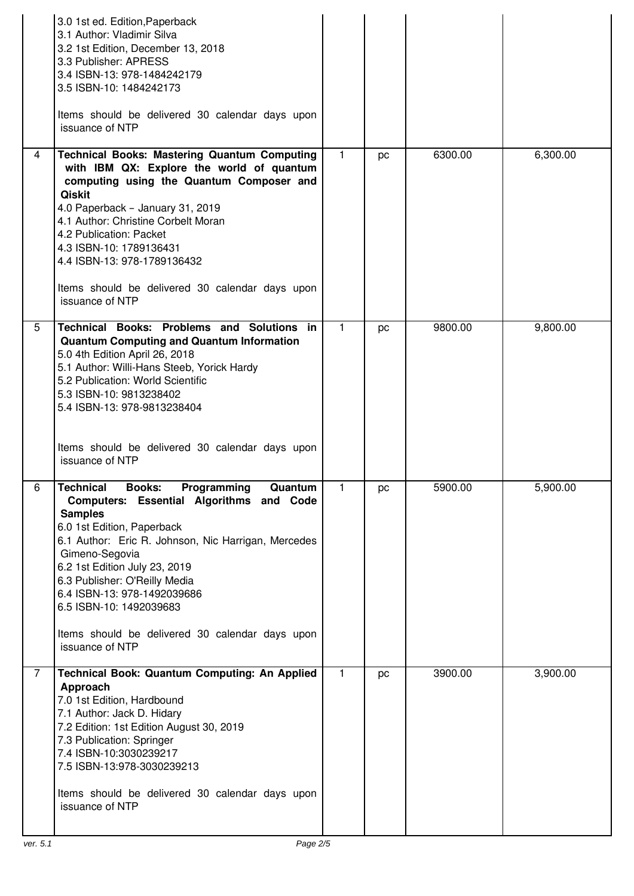|                | 3.0 1st ed. Edition, Paperback<br>3.1 Author: Vladimir Silva<br>3.2 1st Edition, December 13, 2018<br>3.3 Publisher: APRESS<br>3.4 ISBN-13: 978-1484242179<br>3.5 ISBN-10: 1484242173<br>Items should be delivered 30 calendar days upon<br>issuance of NTP                                                                                                                                                                          |              |    |         |          |
|----------------|--------------------------------------------------------------------------------------------------------------------------------------------------------------------------------------------------------------------------------------------------------------------------------------------------------------------------------------------------------------------------------------------------------------------------------------|--------------|----|---------|----------|
| 4              | <b>Technical Books: Mastering Quantum Computing</b><br>with IBM QX: Explore the world of quantum<br>computing using the Quantum Composer and<br><b>Qiskit</b><br>4.0 Paperback - January 31, 2019<br>4.1 Author: Christine Corbelt Moran<br>4.2 Publication: Packet<br>4.3 ISBN-10: 1789136431<br>4.4 ISBN-13: 978-1789136432<br>Items should be delivered 30 calendar days upon<br>issuance of NTP                                  | 1            | pc | 6300.00 | 6,300.00 |
| 5              | Technical Books: Problems and Solutions in<br><b>Quantum Computing and Quantum Information</b><br>5.0 4th Edition April 26, 2018<br>5.1 Author: Willi-Hans Steeb, Yorick Hardy<br>5.2 Publication: World Scientific<br>5.3 ISBN-10: 9813238402<br>5.4 ISBN-13: 978-9813238404<br>Items should be delivered 30 calendar days upon<br>issuance of NTP                                                                                  | $\mathbf{1}$ | pc | 9800.00 | 9,800.00 |
| 6              | l Technical<br><b>Books:</b><br>Programming<br>Quantum<br><b>Computers: Essential Algorithms and Code</b><br><b>Samples</b><br>6.0 1st Edition, Paperback<br>6.1 Author: Eric R. Johnson, Nic Harrigan, Mercedes<br>Gimeno-Segovia<br>6.2 1st Edition July 23, 2019<br>6.3 Publisher: O'Reilly Media<br>6.4 ISBN-13: 978-1492039686<br>6.5 ISBN-10: 1492039683<br>Items should be delivered 30 calendar days upon<br>issuance of NTP | 1.           | pc | 5900.00 | 5,900.00 |
| $\overline{7}$ | <b>Technical Book: Quantum Computing: An Applied</b><br>Approach<br>7.0 1st Edition, Hardbound<br>7.1 Author: Jack D. Hidary<br>7.2 Edition: 1st Edition August 30, 2019<br>7.3 Publication: Springer<br>7.4 ISBN-10:3030239217<br>7.5 ISBN-13:978-3030239213<br>Items should be delivered 30 calendar days upon<br>issuance of NTP                                                                                                  | $\mathbf{1}$ | pc | 3900.00 | 3,900.00 |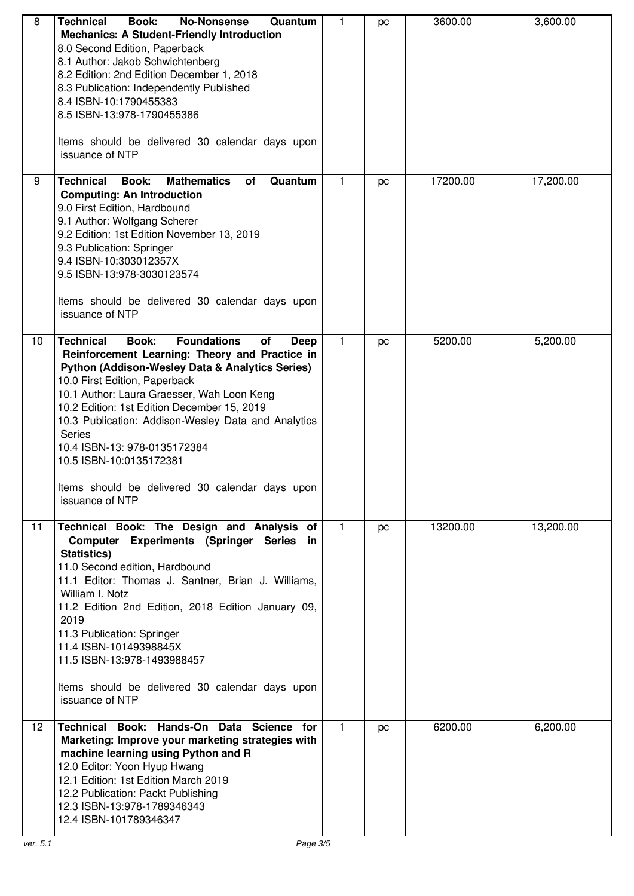| 8               | <b>Technical</b><br><b>Book:</b><br><b>No-Nonsense</b><br>Quantum<br><b>Mechanics: A Student-Friendly Introduction</b><br>8.0 Second Edition, Paperback<br>8.1 Author: Jakob Schwichtenberg<br>8.2 Edition: 2nd Edition December 1, 2018<br>8.3 Publication: Independently Published<br>8.4 ISBN-10:1790455383<br>8.5 ISBN-13:978-1790455386<br>Items should be delivered 30 calendar days upon<br>issuance of NTP                                                                                                      | $\mathbf{1}$ | pc | 3600.00  | 3,600.00  |
|-----------------|-------------------------------------------------------------------------------------------------------------------------------------------------------------------------------------------------------------------------------------------------------------------------------------------------------------------------------------------------------------------------------------------------------------------------------------------------------------------------------------------------------------------------|--------------|----|----------|-----------|
| 9               | <b>Mathematics</b><br><b>Technical</b><br>Book:<br>Quantum<br>οf<br><b>Computing: An Introduction</b><br>9.0 First Edition, Hardbound<br>9.1 Author: Wolfgang Scherer<br>9.2 Edition: 1st Edition November 13, 2019<br>9.3 Publication: Springer<br>9.4 ISBN-10:303012357X<br>9.5 ISBN-13:978-3030123574<br>Items should be delivered 30 calendar days upon<br>issuance of NTP                                                                                                                                          | $\mathbf{1}$ | pc | 17200.00 | 17,200.00 |
| 10 <sup>1</sup> | <b>Foundations</b><br><b>Technical</b><br>Book:<br><b>of</b><br><b>Deep</b><br>Reinforcement Learning: Theory and Practice in<br>Python (Addison-Wesley Data & Analytics Series)<br>10.0 First Edition, Paperback<br>10.1 Author: Laura Graesser, Wah Loon Keng<br>10.2 Edition: 1st Edition December 15, 2019<br>10.3 Publication: Addison-Wesley Data and Analytics<br><b>Series</b><br>10.4 ISBN-13: 978-0135172384<br>10.5 ISBN-10:0135172381<br>Items should be delivered 30 calendar days upon<br>issuance of NTP | $\mathbf{1}$ | pc | 5200.00  | 5,200.00  |
| 11              | Technical Book: The Design and Analysis of<br>Computer Experiments (Springer Series in<br>Statistics)<br>11.0 Second edition, Hardbound<br>11.1 Editor: Thomas J. Santner, Brian J. Williams,<br>William I. Notz<br>11.2 Edition 2nd Edition, 2018 Edition January 09,<br>2019<br>11.3 Publication: Springer<br>11.4 ISBN-10149398845X<br>11.5 ISBN-13:978-1493988457<br>Items should be delivered 30 calendar days upon<br>issuance of NTP                                                                             | $\mathbf{1}$ | pc | 13200.00 | 13,200.00 |
| 12              | Technical Book: Hands-On Data Science for<br>Marketing: Improve your marketing strategies with<br>machine learning using Python and R<br>12.0 Editor: Yoon Hyup Hwang<br>12.1 Edition: 1st Edition March 2019<br>12.2 Publication: Packt Publishing<br>12.3 ISBN-13:978-1789346343<br>12.4 ISBN-101789346347                                                                                                                                                                                                            | $\mathbf{1}$ | pc | 6200.00  | 6,200.00  |
| ver. 5.1        | Page 3/5                                                                                                                                                                                                                                                                                                                                                                                                                                                                                                                |              |    |          |           |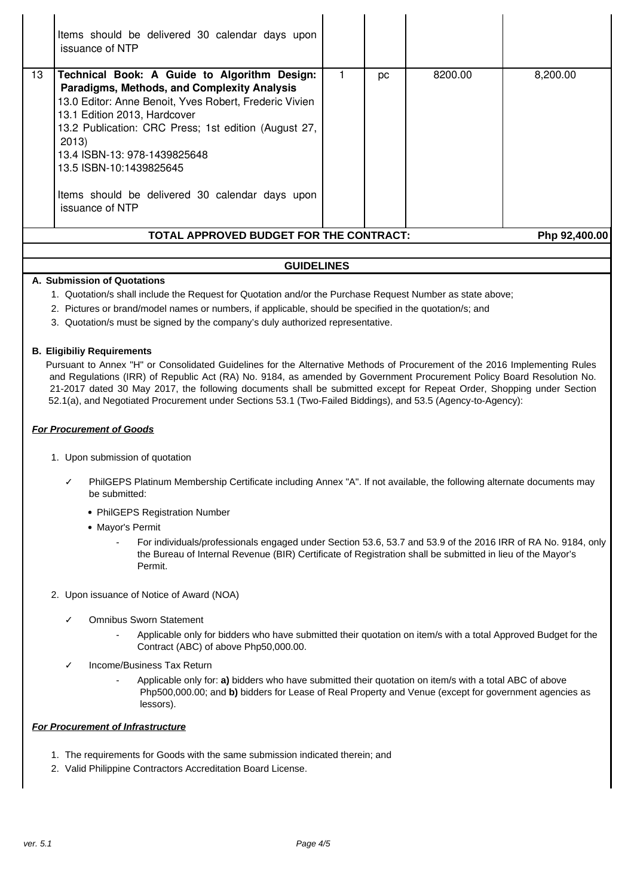|    | Items should be delivered 30 calendar days upon<br>issuance of NTP                                                                                                                                                                                                                                                                                                                             |  |    |         |          |  |
|----|------------------------------------------------------------------------------------------------------------------------------------------------------------------------------------------------------------------------------------------------------------------------------------------------------------------------------------------------------------------------------------------------|--|----|---------|----------|--|
| 13 | Technical Book: A Guide to Algorithm Design:<br><b>Paradigms, Methods, and Complexity Analysis</b><br>13.0 Editor: Anne Benoit, Yves Robert, Frederic Vivien<br>13.1 Edition 2013, Hardcover<br>13.2 Publication: CRC Press; 1st edition (August 27,<br>2013)<br>13.4 ISBN-13: 978-1439825648<br>13.5 ISBN-10:1439825645<br>Items should be delivered 30 calendar days upon<br>issuance of NTP |  | рc | 8200.00 | 8,200.00 |  |
|    | TOTAL APPROVED BUDGET FOR THE CONTRACT:<br>Php 92,400.00                                                                                                                                                                                                                                                                                                                                       |  |    |         |          |  |

## **GUIDELINES**

## **A. Submission of Quotations**

- 1. Quotation/s shall include the Request for Quotation and/or the Purchase Request Number as state above;
- 2. Pictures or brand/model names or numbers, if applicable, should be specified in the quotation/s; and
- 3. Quotation/s must be signed by the company's duly authorized representative.

#### **B. Eligibiliy Requirements**

Pursuant to Annex "H" or Consolidated Guidelines for the Alternative Methods of Procurement of the 2016 Implementing Rules and Regulations (IRR) of Republic Act (RA) No. 9184, as amended by Government Procurement Policy Board Resolution No. 21-2017 dated 30 May 2017, the following documents shall be submitted except for Repeat Order, Shopping under Section 52.1(a), and Negotiated Procurement under Sections 53.1 (Two-Failed Biddings), and 53.5 (Agency-to-Agency):

#### **For Procurement of Goods**

- 1. Upon submission of quotation
	- PhilGEPS Platinum Membership Certificate including Annex "A". If not available, the following alternate documents may be submitted:
		- PhilGEPS Registration Number
		- Mayor's Permit
			- For individuals/professionals engaged under Section 53.6, 53.7 and 53.9 of the 2016 IRR of RA No. 9184, only the Bureau of Internal Revenue (BIR) Certificate of Registration shall be submitted in lieu of the Mayor's Permit.
- 2. Upon issuance of Notice of Award (NOA)
	- ✓ Omnibus Sworn Statement
		- Applicable only for bidders who have submitted their quotation on item/s with a total Approved Budget for the Contract (ABC) of above Php50,000.00.
	- ✓ Income/Business Tax Return
		- Applicable only for: **a)** bidders who have submitted their quotation on item/s with a total ABC of above Php500,000.00; and **b)** bidders for Lease of Real Property and Venue (except for government agencies as lessors).

#### **For Procurement of Infrastructure**

- 1. The requirements for Goods with the same submission indicated therein; and
- 2. Valid Philippine Contractors Accreditation Board License.